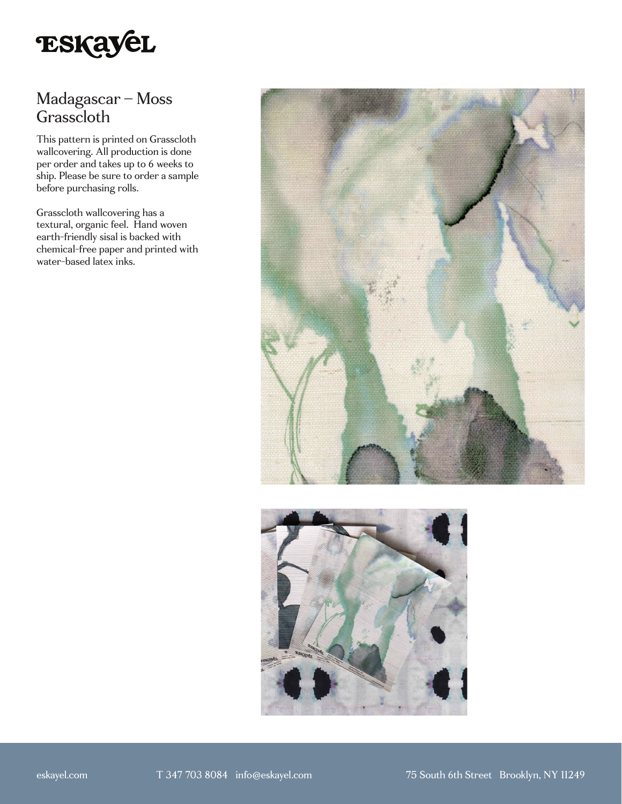

## Madagascar – Moss Grasscloth

This pattern is printed on Grasscloth wallcovering. All production is done per order and takes up to 6 weeks to ship. Please be sure to order a sample before purchasing rolls.

Grasscloth wallcovering has a textural, organic feel. Hand woven earth-friendly sisal is backed with chemical-free paper and printed with water-based latex inks.



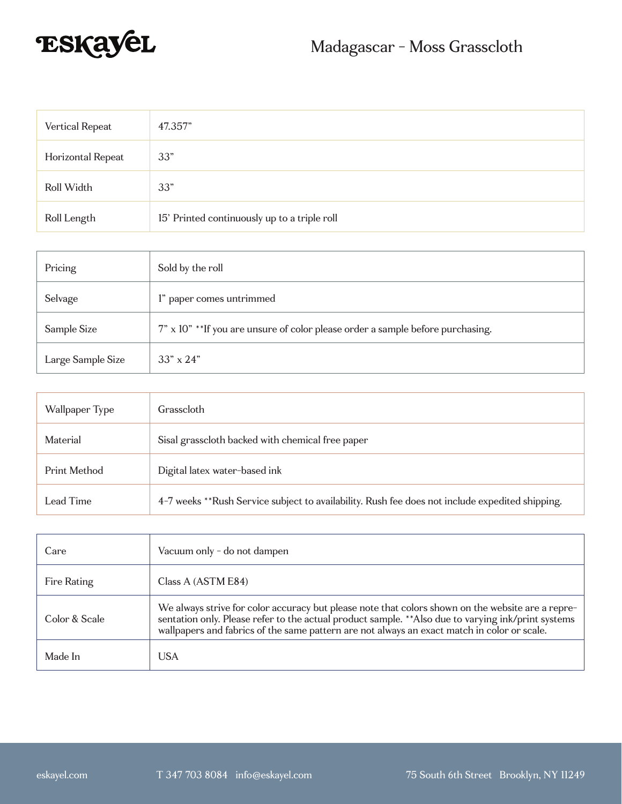

| Vertical Repeat   | 47.357"                                      |
|-------------------|----------------------------------------------|
| Horizontal Repeat | 33"                                          |
| Roll Width        | 33"                                          |
| Roll Length       | 15' Printed continuously up to a triple roll |

| Pricing           | Sold by the roll                                                               |
|-------------------|--------------------------------------------------------------------------------|
| Selvage           | 1" paper comes untrimmed                                                       |
| Sample Size       | 7" x 10" **If you are unsure of color please order a sample before purchasing. |
| Large Sample Size | $33'' \times 24''$                                                             |

| Wallpaper Type | Grasscloth                                                                                      |
|----------------|-------------------------------------------------------------------------------------------------|
| Material       | Sisal grasscloth backed with chemical free paper                                                |
| Print Method   | Digital latex water-based ink                                                                   |
| Lead Time      | 4-7 weeks **Rush Service subject to availability. Rush fee does not include expedited shipping. |

| Care          | Vacuum only - do not dampen                                                                                                                                                                                                                                                                             |
|---------------|---------------------------------------------------------------------------------------------------------------------------------------------------------------------------------------------------------------------------------------------------------------------------------------------------------|
| Fire Rating   | Class A (ASTM E84)                                                                                                                                                                                                                                                                                      |
| Color & Scale | We always strive for color accuracy but please note that colors shown on the website are a repre-<br>sentation only. Please refer to the actual product sample. ** Also due to varying ink/print systems<br>wallpapers and fabrics of the same pattern are not always an exact match in color or scale. |
| Made In       | USA                                                                                                                                                                                                                                                                                                     |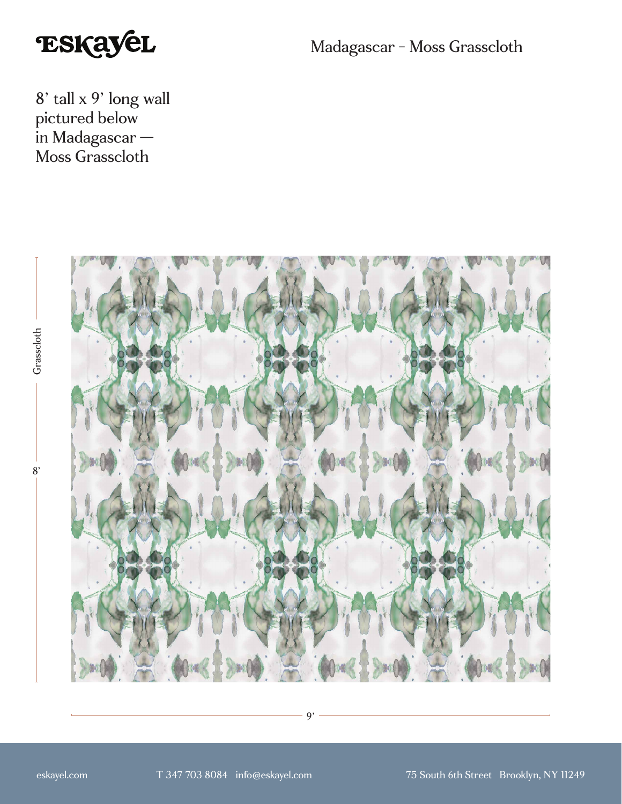

Madagascar - Moss Grasscloth

8' tall x 9' long wall pictured below in Madagascar — Moss Grasscloth



9'

Grasscloth 8'Grasscloth

 $8'$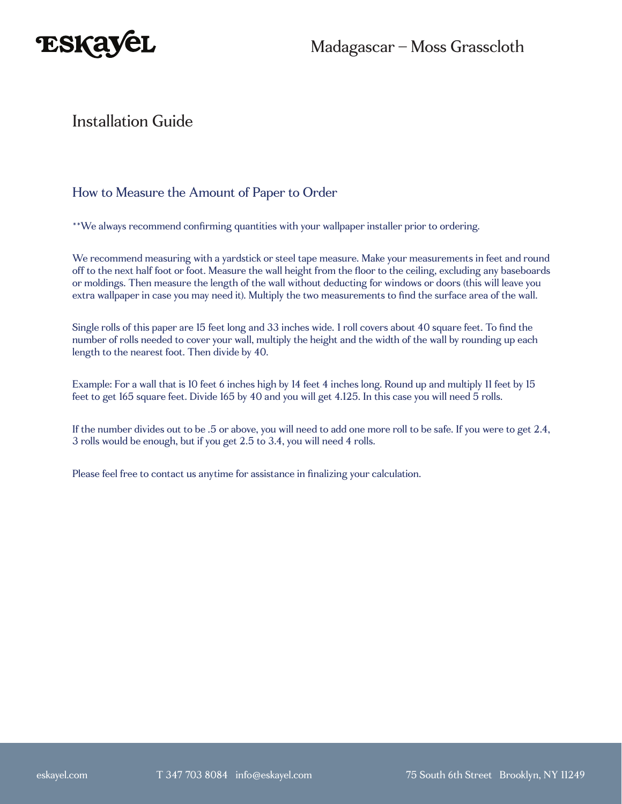

## Installation Guide

#### How to Measure the Amount of Paper to Order

\*\*We always recommend confirming quantities with your wallpaper installer prior to ordering.

We recommend measuring with a yardstick or steel tape measure. Make your measurements in feet and round off to the next half foot or foot. Measure the wall height from the floor to the ceiling, excluding any baseboards or moldings. Then measure the length of the wall without deducting for windows or doors (this will leave you extra wallpaper in case you may need it). Multiply the two measurements to find the surface area of the wall.

Single rolls of this paper are 15 feet long and 33 inches wide. 1 roll covers about 40 square feet. To find the number of rolls needed to cover your wall, multiply the height and the width of the wall by rounding up each length to the nearest foot. Then divide by 40.

Example: For a wall that is 10 feet 6 inches high by 14 feet 4 inches long. Round up and multiply 11 feet by 15 feet to get 165 square feet. Divide 165 by 40 and you will get 4.125. In this case you will need 5 rolls.

If the number divides out to be .5 or above, you will need to add one more roll to be safe. If you were to get 2.4, 3 rolls would be enough, but if you get 2.5 to 3.4, you will need 4 rolls.

Please feel free to contact us anytime for assistance in finalizing your calculation.